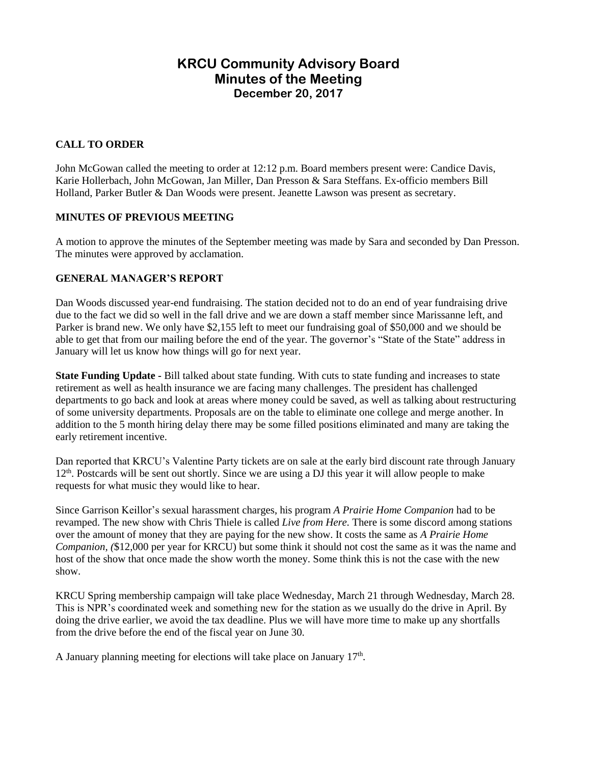# **KRCU Community Advisory Board Minutes of the Meeting December 20, 2017**

## **CALL TO ORDER**

John McGowan called the meeting to order at 12:12 p.m. Board members present were: Candice Davis, Karie Hollerbach, John McGowan, Jan Miller, Dan Presson & Sara Steffans. Ex-officio members Bill Holland, Parker Butler & Dan Woods were present. Jeanette Lawson was present as secretary.

## **MINUTES OF PREVIOUS MEETING**

A motion to approve the minutes of the September meeting was made by Sara and seconded by Dan Presson. The minutes were approved by acclamation.

## **GENERAL MANAGER'S REPORT**

Dan Woods discussed year-end fundraising. The station decided not to do an end of year fundraising drive due to the fact we did so well in the fall drive and we are down a staff member since Marissanne left, and Parker is brand new. We only have \$2,155 left to meet our fundraising goal of \$50,000 and we should be able to get that from our mailing before the end of the year. The governor's "State of the State" address in January will let us know how things will go for next year.

**State Funding Update -** Bill talked about state funding. With cuts to state funding and increases to state retirement as well as health insurance we are facing many challenges. The president has challenged departments to go back and look at areas where money could be saved, as well as talking about restructuring of some university departments. Proposals are on the table to eliminate one college and merge another. In addition to the 5 month hiring delay there may be some filled positions eliminated and many are taking the early retirement incentive.

Dan reported that KRCU's Valentine Party tickets are on sale at the early bird discount rate through January  $12<sup>th</sup>$ . Postcards will be sent out shortly. Since we are using a DJ this year it will allow people to make requests for what music they would like to hear.

Since Garrison Keillor's sexual harassment charges, his program *A Prairie Home Companion* had to be revamped. The new show with Chris Thiele is called *Live from Here.* There is some discord among stations over the amount of money that they are paying for the new show. It costs the same as *A Prairie Home Companion, (*\$12,000 per year for KRCU) but some think it should not cost the same as it was the name and host of the show that once made the show worth the money. Some think this is not the case with the new show.

KRCU Spring membership campaign will take place Wednesday, March 21 through Wednesday, March 28. This is NPR's coordinated week and something new for the station as we usually do the drive in April. By doing the drive earlier, we avoid the tax deadline. Plus we will have more time to make up any shortfalls from the drive before the end of the fiscal year on June 30.

A January planning meeting for elections will take place on January  $17<sup>th</sup>$ .